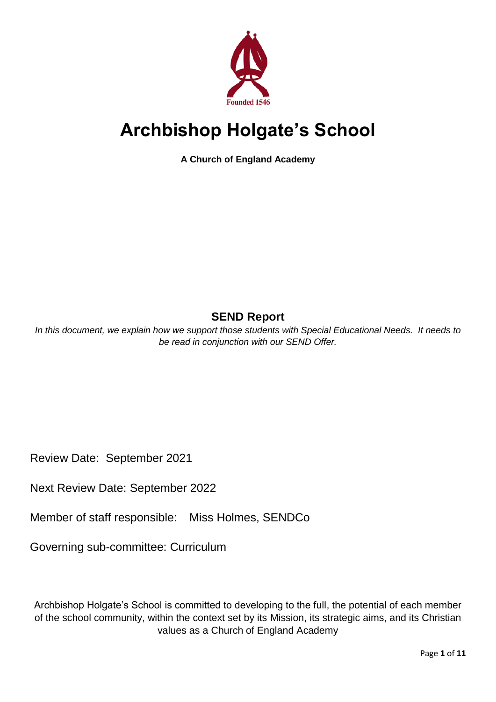

# **Archbishop Holgate's School**

**A Church of England Academy**

# **SEND Report**

*In this document, we explain how we support those students with Special Educational Needs. It needs to be read in conjunction with our SEND Offer.*

Review Date: September 2021

Next Review Date: September 2022

Member of staff responsible: Miss Holmes, SENDCo

Governing sub-committee: Curriculum

Archbishop Holgate's School is committed to developing to the full, the potential of each member of the school community, within the context set by its Mission, its strategic aims, and its Christian values as a Church of England Academy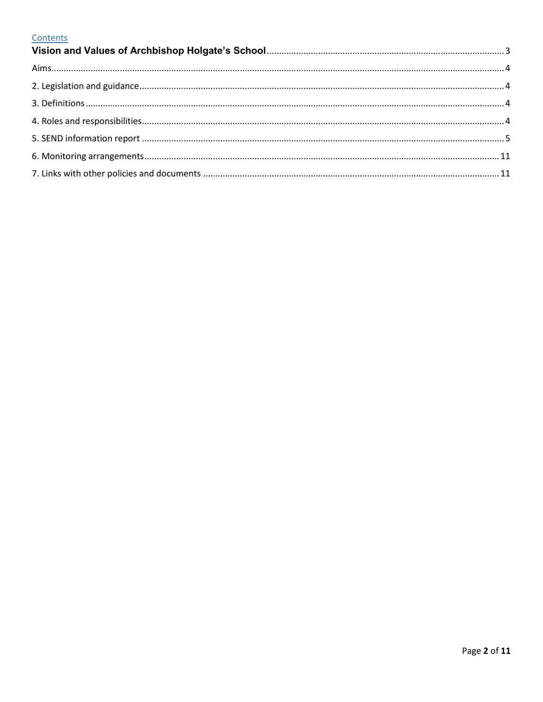# Contents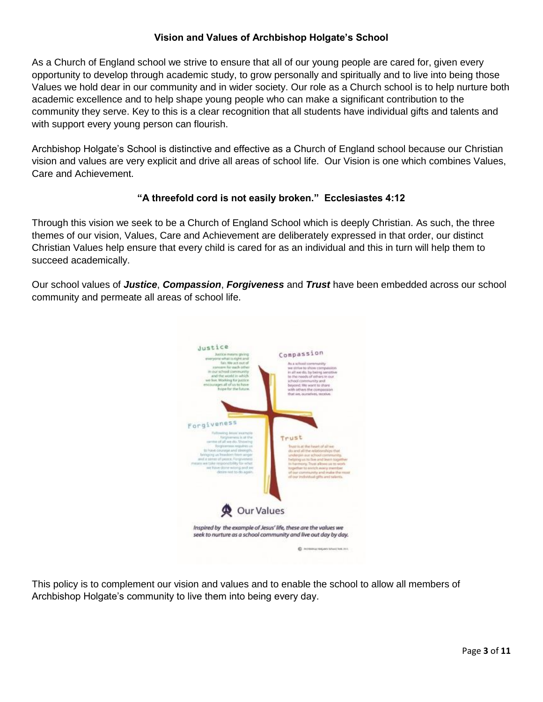# **Vision and Values of Archbishop Holgate's School**

<span id="page-2-0"></span>As a Church of England school we strive to ensure that all of our young people are cared for, given every opportunity to develop through academic study, to grow personally and spiritually and to live into being those Values we hold dear in our community and in wider society. Our role as a Church school is to help nurture both academic excellence and to help shape young people who can make a significant contribution to the community they serve. Key to this is a clear recognition that all students have individual gifts and talents and with support every young person can flourish.

Archbishop Holgate's School is distinctive and effective as a Church of England school because our Christian vision and values are very explicit and drive all areas of school life. Our Vision is one which combines Values, Care and Achievement.

# **"A threefold cord is not easily broken." Ecclesiastes 4:12**

Through this vision we seek to be a Church of England School which is deeply Christian. As such, the three themes of our vision, Values, Care and Achievement are deliberately expressed in that order, our distinct Christian Values help ensure that every child is cared for as an individual and this in turn will help them to succeed academically.

Our school values of *Justice*, *Compassion*, *Forgiveness* and *Trust* have been embedded across our school community and permeate all areas of school life.



This policy is to complement our vision and values and to enable the school to allow all members of Archbishop Holgate's community to live them into being every day.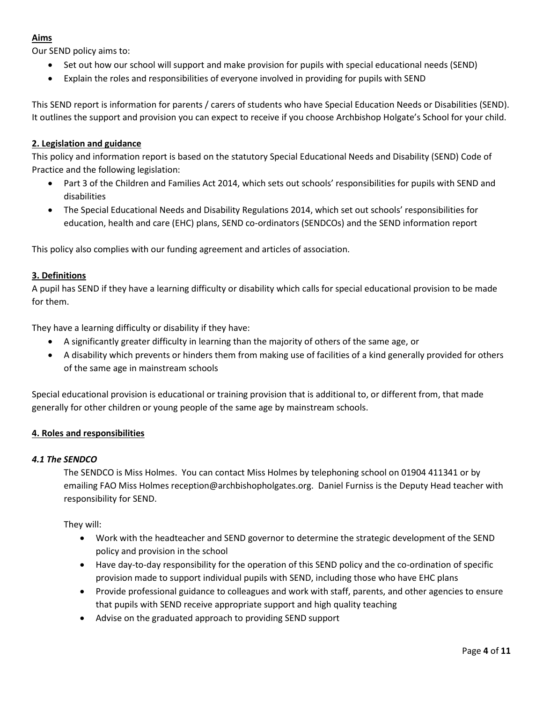# <span id="page-3-0"></span>**Aims**

Our SEND policy aims to:

- Set out how our school will support and make provision for pupils with special educational needs (SEND)
- Explain the roles and responsibilities of everyone involved in providing for pupils with SEND

This SEND report is information for parents / carers of students who have Special Education Needs or Disabilities (SEND). It outlines the support and provision you can expect to receive if you choose Archbishop Holgate's School for your child.

# <span id="page-3-1"></span>**2. Legislation and guidance**

This policy and information report is based on the statutory Special Educational Needs and Disability (SEND) Code of Practice and the following legislation:

- Part 3 of the Children and Families Act 2014, which sets out schools' responsibilities for pupils with SEND and disabilities
- The Special Educational Needs and Disability Regulations 2014, which set out schools' responsibilities for education, health and care (EHC) plans, SEND co-ordinators (SENDCOs) and the SEND information report

This policy also complies with our funding agreement and articles of association.

# <span id="page-3-2"></span>**3. Definitions**

A pupil has SEND if they have a learning difficulty or disability which calls for special educational provision to be made for them.

They have a learning difficulty or disability if they have:

- A significantly greater difficulty in learning than the majority of others of the same age, or
- A disability which prevents or hinders them from making use of facilities of a kind generally provided for others of the same age in mainstream schools

Special educational provision is educational or training provision that is additional to, or different from, that made generally for other children or young people of the same age by mainstream schools.

# <span id="page-3-3"></span>**4. Roles and responsibilities**

#### *4.1 The SENDCO*

The SENDCO is Miss Holmes. You can contact Miss Holmes by telephoning school on 01904 411341 or by emailing FAO Miss Holmes reception@archbishopholgates.org. Daniel Furniss is the Deputy Head teacher with responsibility for SEND.

They will:

- Work with the headteacher and SEND governor to determine the strategic development of the SEND policy and provision in the school
- Have day-to-day responsibility for the operation of this SEND policy and the co-ordination of specific provision made to support individual pupils with SEND, including those who have EHC plans
- Provide professional guidance to colleagues and work with staff, parents, and other agencies to ensure that pupils with SEND receive appropriate support and high quality teaching
- Advise on the graduated approach to providing SEND support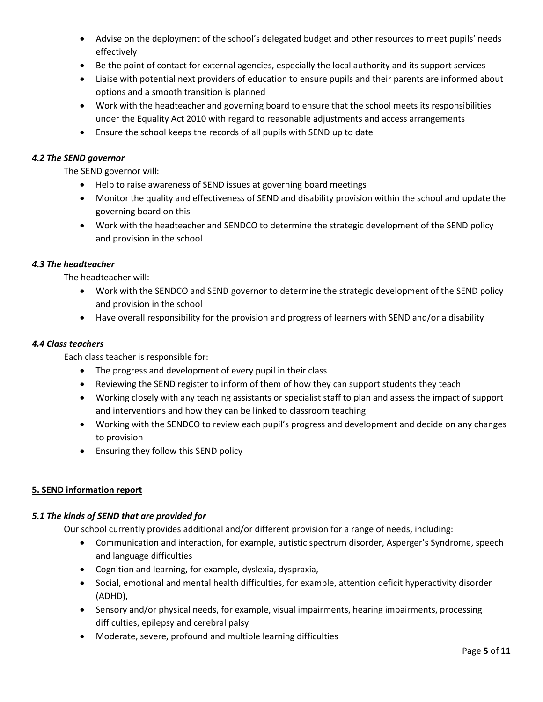- Advise on the deployment of the school's delegated budget and other resources to meet pupils' needs effectively
- Be the point of contact for external agencies, especially the local authority and its support services
- Liaise with potential next providers of education to ensure pupils and their parents are informed about options and a smooth transition is planned
- Work with the headteacher and governing board to ensure that the school meets its responsibilities under the Equality Act 2010 with regard to reasonable adjustments and access arrangements
- Ensure the school keeps the records of all pupils with SEND up to date

#### *4.2 The SEND governor*

The SEND governor will:

- Help to raise awareness of SEND issues at governing board meetings
- Monitor the quality and effectiveness of SEND and disability provision within the school and update the governing board on this
- Work with the headteacher and SENDCO to determine the strategic development of the SEND policy and provision in the school

#### *4.3 The headteacher*

The headteacher will:

- Work with the SENDCO and SEND governor to determine the strategic development of the SEND policy and provision in the school
- Have overall responsibility for the provision and progress of learners with SEND and/or a disability

#### *4.4 Class teachers*

Each class teacher is responsible for:

- The progress and development of every pupil in their class
- Reviewing the SEND register to inform of them of how they can support students they teach
- Working closely with any teaching assistants or specialist staff to plan and assess the impact of support and interventions and how they can be linked to classroom teaching
- Working with the SENDCO to review each pupil's progress and development and decide on any changes to provision
- Ensuring they follow this SEND policy

# <span id="page-4-0"></span>**5. SEND information report**

#### *5.1 The kinds of SEND that are provided for*

Our school currently provides additional and/or different provision for a range of needs, including:

- Communication and interaction, for example, autistic spectrum disorder, Asperger's Syndrome, speech and language difficulties
- Cognition and learning, for example, dyslexia, dyspraxia,
- Social, emotional and mental health difficulties, for example, attention deficit hyperactivity disorder (ADHD),
- Sensory and/or physical needs, for example, visual impairments, hearing impairments, processing difficulties, epilepsy and cerebral palsy
- Moderate, severe, profound and multiple learning difficulties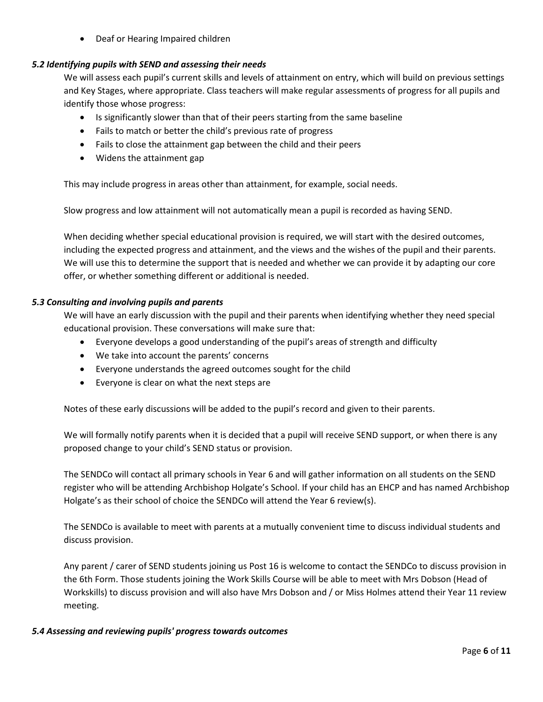• Deaf or Hearing Impaired children

# *5.2 Identifying pupils with SEND and assessing their needs*

We will assess each pupil's current skills and levels of attainment on entry, which will build on previous settings and Key Stages, where appropriate. Class teachers will make regular assessments of progress for all pupils and identify those whose progress:

- Is significantly slower than that of their peers starting from the same baseline
- Fails to match or better the child's previous rate of progress
- Fails to close the attainment gap between the child and their peers
- Widens the attainment gap

This may include progress in areas other than attainment, for example, social needs.

Slow progress and low attainment will not automatically mean a pupil is recorded as having SEND.

When deciding whether special educational provision is required, we will start with the desired outcomes, including the expected progress and attainment, and the views and the wishes of the pupil and their parents. We will use this to determine the support that is needed and whether we can provide it by adapting our core offer, or whether something different or additional is needed.

#### *5.3 Consulting and involving pupils and parents*

We will have an early discussion with the pupil and their parents when identifying whether they need special educational provision. These conversations will make sure that:

- Everyone develops a good understanding of the pupil's areas of strength and difficulty
- We take into account the parents' concerns
- Everyone understands the agreed outcomes sought for the child
- Everyone is clear on what the next steps are

Notes of these early discussions will be added to the pupil's record and given to their parents.

We will formally notify parents when it is decided that a pupil will receive SEND support, or when there is any proposed change to your child's SEND status or provision.

The SENDCo will contact all primary schools in Year 6 and will gather information on all students on the SEND register who will be attending Archbishop Holgate's School. If your child has an EHCP and has named Archbishop Holgate's as their school of choice the SENDCo will attend the Year 6 review(s).

The SENDCo is available to meet with parents at a mutually convenient time to discuss individual students and discuss provision.

Any parent / carer of SEND students joining us Post 16 is welcome to contact the SENDCo to discuss provision in the 6th Form. Those students joining the Work Skills Course will be able to meet with Mrs Dobson (Head of Workskills) to discuss provision and will also have Mrs Dobson and / or Miss Holmes attend their Year 11 review meeting.

#### *5.4 Assessing and reviewing pupils' progress towards outcomes*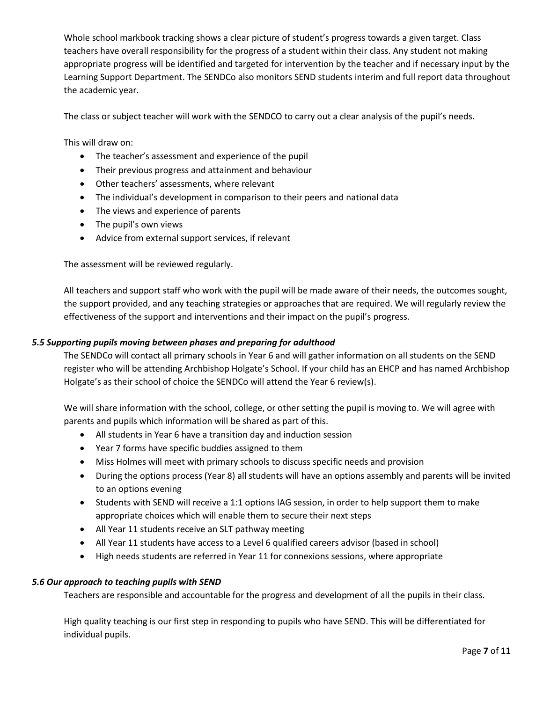Whole school markbook tracking shows a clear picture of student's progress towards a given target. Class teachers have overall responsibility for the progress of a student within their class. Any student not making appropriate progress will be identified and targeted for intervention by the teacher and if necessary input by the Learning Support Department. The SENDCo also monitors SEND students interim and full report data throughout the academic year.

The class or subject teacher will work with the SENDCO to carry out a clear analysis of the pupil's needs.

This will draw on:

- The teacher's assessment and experience of the pupil
- Their previous progress and attainment and behaviour
- Other teachers' assessments, where relevant
- The individual's development in comparison to their peers and national data
- The views and experience of parents
- The pupil's own views
- Advice from external support services, if relevant

The assessment will be reviewed regularly.

All teachers and support staff who work with the pupil will be made aware of their needs, the outcomes sought, the support provided, and any teaching strategies or approaches that are required. We will regularly review the effectiveness of the support and interventions and their impact on the pupil's progress.

#### *5.5 Supporting pupils moving between phases and preparing for adulthood*

The SENDCo will contact all primary schools in Year 6 and will gather information on all students on the SEND register who will be attending Archbishop Holgate's School. If your child has an EHCP and has named Archbishop Holgate's as their school of choice the SENDCo will attend the Year 6 review(s).

We will share information with the school, college, or other setting the pupil is moving to. We will agree with parents and pupils which information will be shared as part of this.

- All students in Year 6 have a transition day and induction session
- Year 7 forms have specific buddies assigned to them
- Miss Holmes will meet with primary schools to discuss specific needs and provision
- During the options process (Year 8) all students will have an options assembly and parents will be invited to an options evening
- Students with SEND will receive a 1:1 options IAG session, in order to help support them to make appropriate choices which will enable them to secure their next steps
- All Year 11 students receive an SLT pathway meeting
- All Year 11 students have access to a Level 6 qualified careers advisor (based in school)
- High needs students are referred in Year 11 for connexions sessions, where appropriate

#### *5.6 Our approach to teaching pupils with SEND*

Teachers are responsible and accountable for the progress and development of all the pupils in their class.

High quality teaching is our first step in responding to pupils who have SEND. This will be differentiated for individual pupils.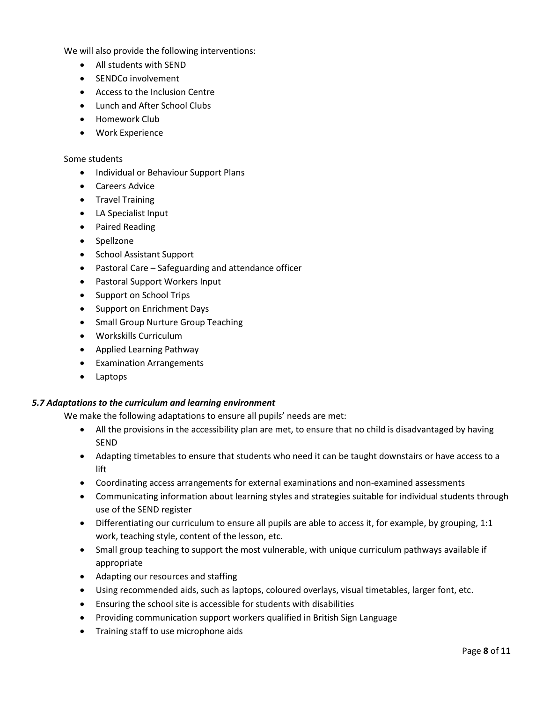We will also provide the following interventions:

- All students with SEND
- SENDCo involvement
- Access to the Inclusion Centre
- Lunch and After School Clubs
- Homework Club
- Work Experience

#### Some students

- Individual or Behaviour Support Plans
- Careers Advice
- Travel Training
- LA Specialist Input
- Paired Reading
- Spellzone
- School Assistant Support
- Pastoral Care Safeguarding and attendance officer
- Pastoral Support Workers Input
- Support on School Trips
- Support on Enrichment Days
- Small Group Nurture Group Teaching
- Workskills Curriculum
- Applied Learning Pathway
- Examination Arrangements
- Laptops

#### *5.7 Adaptations to the curriculum and learning environment*

We make the following adaptations to ensure all pupils' needs are met:

- All the provisions in the accessibility plan are met, to ensure that no child is disadvantaged by having SEND
- Adapting timetables to ensure that students who need it can be taught downstairs or have access to a lift
- Coordinating access arrangements for external examinations and non-examined assessments
- Communicating information about learning styles and strategies suitable for individual students through use of the SEND register
- Differentiating our curriculum to ensure all pupils are able to access it, for example, by grouping, 1:1 work, teaching style, content of the lesson, etc.
- Small group teaching to support the most vulnerable, with unique curriculum pathways available if appropriate
- Adapting our resources and staffing
- Using recommended aids, such as laptops, coloured overlays, visual timetables, larger font, etc.
- Ensuring the school site is accessible for students with disabilities
- Providing communication support workers qualified in British Sign Language
- Training staff to use microphone aids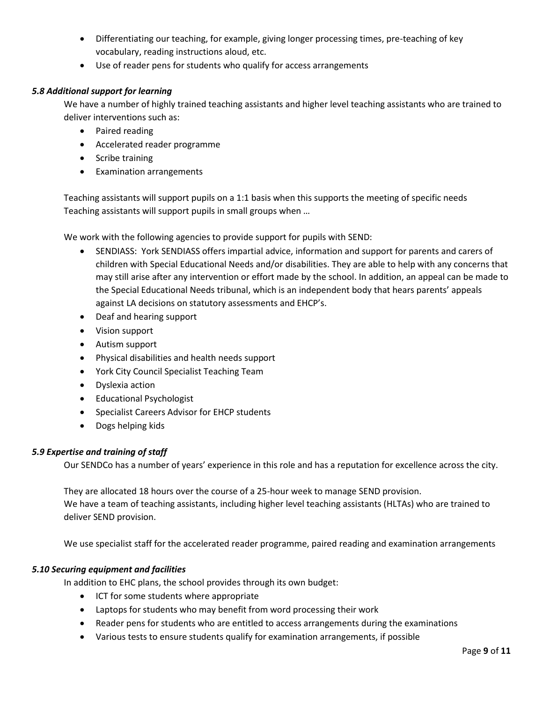- Differentiating our teaching, for example, giving longer processing times, pre-teaching of key vocabulary, reading instructions aloud, etc.
- Use of reader pens for students who qualify for access arrangements

#### *5.8 Additional support for learning*

We have a number of highly trained teaching assistants and higher level teaching assistants who are trained to deliver interventions such as:

- Paired reading
- Accelerated reader programme
- Scribe training
- Examination arrangements

Teaching assistants will support pupils on a 1:1 basis when this supports the meeting of specific needs Teaching assistants will support pupils in small groups when …

We work with the following agencies to provide support for pupils with SEND:

- SENDIASS: York SENDIASS offers impartial advice, information and support for parents and carers of children with Special Educational Needs and/or disabilities. They are able to help with any concerns that may still arise after any intervention or effort made by the school. In addition, an appeal can be made to the Special Educational Needs tribunal, which is an independent body that hears parents' appeals against LA decisions on statutory assessments and EHCP's.
- Deaf and hearing support
- Vision support
- Autism support
- Physical disabilities and health needs support
- York City Council Specialist Teaching Team
- Dyslexia action
- Educational Psychologist
- Specialist Careers Advisor for EHCP students
- Dogs helping kids

#### *5.9 Expertise and training of staff*

Our SENDCo has a number of years' experience in this role and has a reputation for excellence across the city.

They are allocated 18 hours over the course of a 25-hour week to manage SEND provision. We have a team of teaching assistants, including higher level teaching assistants (HLTAs) who are trained to deliver SEND provision.

We use specialist staff for the accelerated reader programme, paired reading and examination arrangements

#### *5.10 Securing equipment and facilities*

In addition to EHC plans, the school provides through its own budget:

- ICT for some students where appropriate
- Laptops for students who may benefit from word processing their work
- Reader pens for students who are entitled to access arrangements during the examinations
- Various tests to ensure students qualify for examination arrangements, if possible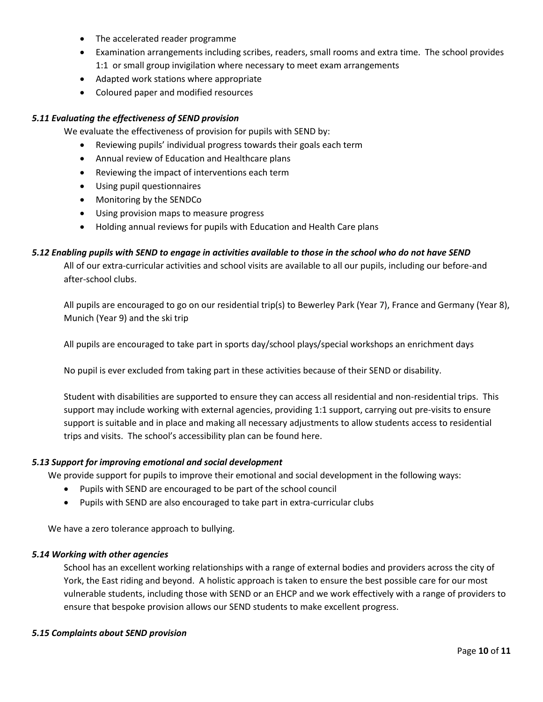- The accelerated reader programme
- Examination arrangements including scribes, readers, small rooms and extra time. The school provides 1:1 or small group invigilation where necessary to meet exam arrangements
- Adapted work stations where appropriate
- Coloured paper and modified resources

#### *5.11 Evaluating the effectiveness of SEND provision*

We evaluate the effectiveness of provision for pupils with SEND by:

- Reviewing pupils' individual progress towards their goals each term
- Annual review of Education and Healthcare plans
- Reviewing the impact of interventions each term
- Using pupil questionnaires
- Monitoring by the SENDCo
- Using provision maps to measure progress
- Holding annual reviews for pupils with Education and Health Care plans

#### *5.12 Enabling pupils with SEND to engage in activities available to those in the school who do not have SEND*

All of our extra-curricular activities and school visits are available to all our pupils, including our before-and after-school clubs.

All pupils are encouraged to go on our residential trip(s) to Bewerley Park (Year 7), France and Germany (Year 8), Munich (Year 9) and the ski trip

All pupils are encouraged to take part in sports day/school plays/special workshops an enrichment days

No pupil is ever excluded from taking part in these activities because of their SEND or disability.

Student with disabilities are supported to ensure they can access all residential and non-residential trips. This support may include working with external agencies, providing 1:1 support, carrying out pre-visits to ensure support is suitable and in place and making all necessary adjustments to allow students access to residential trips and visits. The school's accessibility plan can be found here.

#### *5.13 Support for improving emotional and social development*

We provide support for pupils to improve their emotional and social development in the following ways:

- Pupils with SEND are encouraged to be part of the school council
- Pupils with SEND are also encouraged to take part in extra-curricular clubs

We have a zero tolerance approach to bullying.

#### *5.14 Working with other agencies*

School has an excellent working relationships with a range of external bodies and providers across the city of York, the East riding and beyond. A holistic approach is taken to ensure the best possible care for our most vulnerable students, including those with SEND or an EHCP and we work effectively with a range of providers to ensure that bespoke provision allows our SEND students to make excellent progress.

#### *5.15 Complaints about SEND provision*